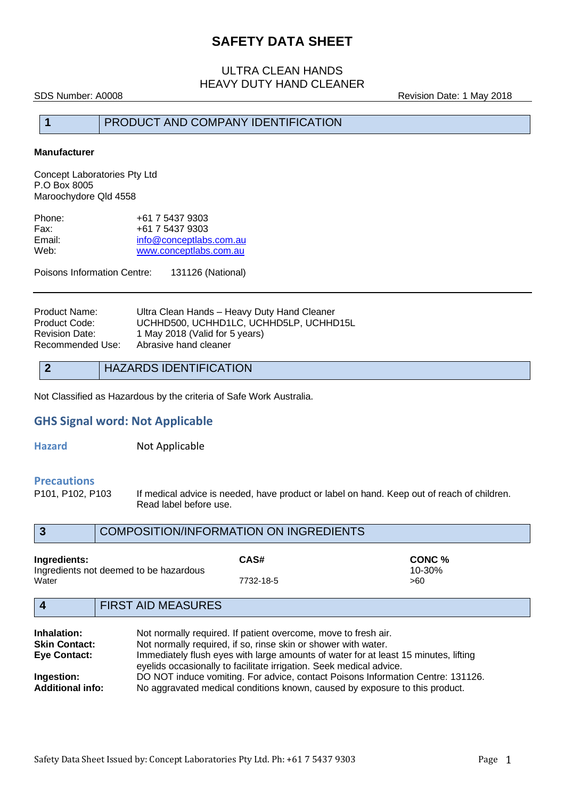### ULTRA CLEAN HANDS HEAVY DUTY HAND CLEANER

SDS Number: A0008 **SDS Number: A0008** Revision Date: 1 May 2018

### **1** PRODUCT AND COMPANY IDENTIFICATION

#### **Manufacturer**

Concept Laboratories Pty Ltd P.O Box 8005 Maroochydore Qld 4558

| Phone: | +61 7 5437 9303         |
|--------|-------------------------|
| Fax:   | +61 7 5437 9303         |
| Email: | info@conceptlabs.com.au |
| Web:   | www.conceptlabs.com.au  |

Poisons Information Centre: 131126 (National)

| Ultra Clean Hands - Heavy Duty Hand Cleaner |
|---------------------------------------------|
| UCHHD500, UCHHD1LC, UCHHD5LP, UCHHD15L      |
| 1 May 2018 (Valid for 5 years)              |
| Abrasive hand cleaner                       |
|                                             |

#### **2** HAZARDS IDENTIFICATION

Not Classified as Hazardous by the criteria of Safe Work Australia.

#### **GHS Signal word: Not Applicable**

**Hazard Not Applicable** 

# **Precautions**<br>**P101. P102. P103**

If medical advice is needed, have product or label on hand. Keep out of reach of children. Read label before use.

|                       | COMPOSITION/INFORMATION ON INGREDIENTS |                                                                |                             |
|-----------------------|----------------------------------------|----------------------------------------------------------------|-----------------------------|
| Ingredients:<br>Water | Ingredients not deemed to be hazardous | CAS#<br>7732-18-5                                              | CONC %<br>$10 - 30%$<br>>60 |
|                       | <b>FIRST AID MEASURES</b>              |                                                                |                             |
| Inhalation:           |                                        | Not normally required. If patient overcome, move to fresh air. |                             |

| innaiation.             | INOLTIOITITIAILY TEGUITEG. IT DAILENT OVERCOTTIE, THOVE TO ITESTI AIL.              |
|-------------------------|-------------------------------------------------------------------------------------|
| <b>Skin Contact:</b>    | Not normally required, if so, rinse skin or shower with water.                      |
| <b>Eye Contact:</b>     | Immediately flush eyes with large amounts of water for at least 15 minutes, lifting |
|                         | eyelids occasionally to facilitate irrigation. Seek medical advice.                 |
| Ingestion:              | DO NOT induce vomiting. For advice, contact Poisons Information Centre: 131126.     |
| <b>Additional info:</b> | No aggravated medical conditions known, caused by exposure to this product.         |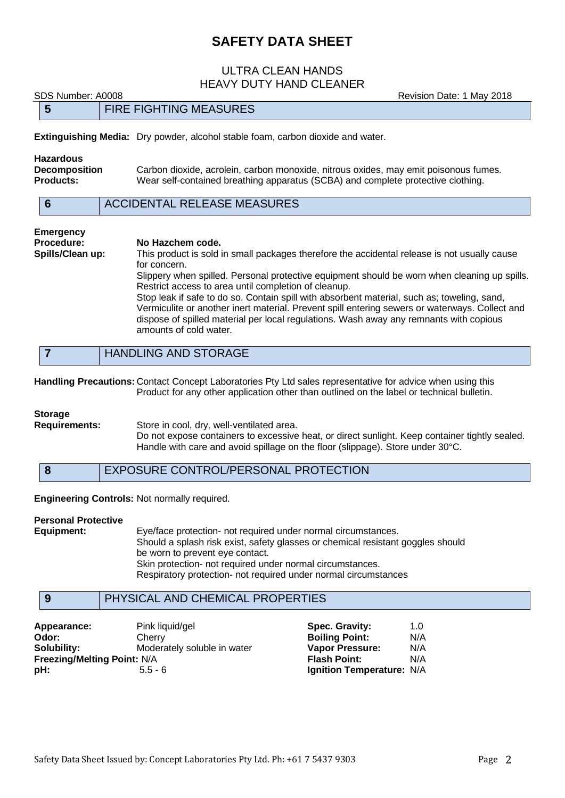#### ULTRA CLEAN HANDS HEAVY DUTY HAND CLEANER

SDS Number: A0008 **Revision Date: 1 May 2018** 

|  | <b>FIRE FIGHTING MEASURES</b> |
|--|-------------------------------|

**Extinguishing Media:** Dry powder, alcohol stable foam, carbon dioxide and water.

| Hazardous            |                                                                                      |
|----------------------|--------------------------------------------------------------------------------------|
| <b>Decomposition</b> | Carbon dioxide, acrolein, carbon monoxide, nitrous oxides, may emit poisonous fumes. |
| Products:            | Wear self-contained breathing apparatus (SCBA) and complete protective clothing.     |
|                      |                                                                                      |

| ACCIDENTAL RELEASE MEASURES |
|-----------------------------|
|                             |

## **Emergency Procedure: No Hazchem code.**<br>**Spills/Clean up:** This product is sold

This product is sold in small packages therefore the accidental release is not usually cause for concern. Slippery when spilled. Personal protective equipment should be worn when cleaning up spills. Restrict access to area until completion of cleanup. Stop leak if safe to do so. Contain spill with absorbent material, such as; toweling, sand, Vermiculite or another inert material. Prevent spill entering sewers or waterways. Collect and

dispose of spilled material per local regulations. Wash away any remnants with copious amounts of cold water.

**Handling Precautions:** Contact Concept Laboratories Pty Ltd sales representative for advice when using this Product for any other application other than outlined on the label or technical bulletin.

#### **Storage**

**Requirements:** Store in cool, dry, well-ventilated area.

Do not expose containers to excessive heat, or direct sunlight. Keep container tightly sealed. Handle with care and avoid spillage on the floor (slippage). Store under 30°C.

**8** EXPOSURE CONTROL/PERSONAL PROTECTION

**Engineering Controls:** Not normally required.

#### **Personal Protective**

**Equipment:** Eye/face protection- not required under normal circumstances. Should a splash risk exist, safety glasses or chemical resistant goggles should be worn to prevent eye contact. Skin protection- not required under normal circumstances. Respiratory protection- not required under normal circumstances

### **9** PHYSICAL AND CHEMICAL PROPERTIES

| Appearance:                        | Pink liquid/gel             | Spec. Gravity:            | 1.0 |
|------------------------------------|-----------------------------|---------------------------|-----|
| Odor:                              | Cherry                      | <b>Boiling Point:</b>     | N/A |
| Solubility:                        | Moderately soluble in water | <b>Vapor Pressure:</b>    | N/A |
| <b>Freezing/Melting Point: N/A</b> |                             | <b>Flash Point:</b>       | N/A |
| pH:                                | $5.5 - 6$                   | Ignition Temperature: N/A |     |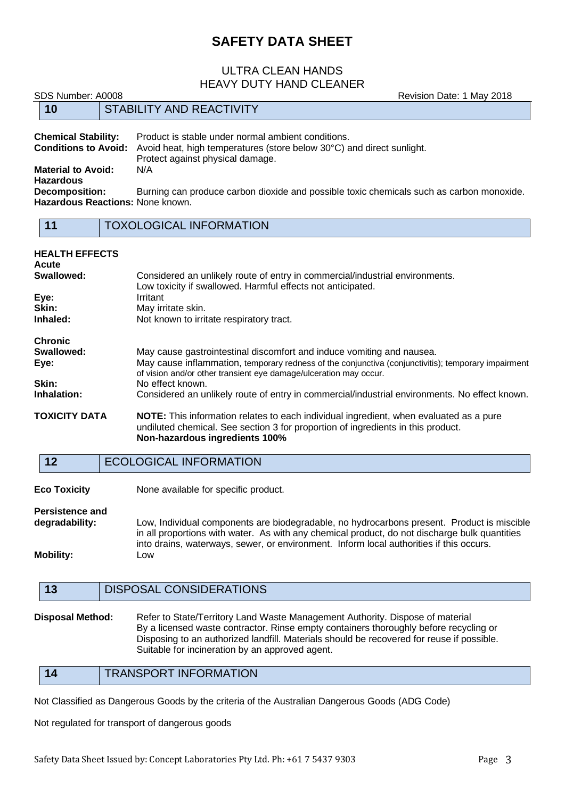#### ULTRA CLEAN HANDS HEAVY DUTY HAND CLEANER

SDS Number: A0008 **SDS Number: A0008** Revision Date: 1 May 2018

|                                                                                                                                                                                                                              | 10                               |  | <b>STABILITY AND REACTIVITY</b>                                                          |
|------------------------------------------------------------------------------------------------------------------------------------------------------------------------------------------------------------------------------|----------------------------------|--|------------------------------------------------------------------------------------------|
| <b>Chemical Stability:</b><br>Product is stable under normal ambient conditions.<br><b>Conditions to Avoid:</b><br>Avoid heat, high temperatures (store below 30°C) and direct sunlight.<br>Protect against physical damage. |                                  |  |                                                                                          |
|                                                                                                                                                                                                                              | <b>Material to Avoid:</b>        |  | N/A                                                                                      |
|                                                                                                                                                                                                                              | <b>Hazardous</b>                 |  |                                                                                          |
|                                                                                                                                                                                                                              | <b>Decomposition:</b>            |  | Burning can produce carbon dioxide and possible toxic chemicals such as carbon monoxide. |
|                                                                                                                                                                                                                              | Hazardous Reactions: None known. |  |                                                                                          |
|                                                                                                                                                                                                                              |                                  |  |                                                                                          |
|                                                                                                                                                                                                                              | 11                               |  | <b>TOXOLOGICAL INFORMATION</b>                                                           |

| <b>HEALTH EFFECTS</b><br>Acute                                                                               |                                                                                                                                                                                                                                                   |
|--------------------------------------------------------------------------------------------------------------|---------------------------------------------------------------------------------------------------------------------------------------------------------------------------------------------------------------------------------------------------|
| Swallowed:                                                                                                   | Considered an unlikely route of entry in commercial/industrial environments.<br>Low toxicity if swallowed. Harmful effects not anticipated.                                                                                                       |
| Eye:                                                                                                         | Irritant                                                                                                                                                                                                                                          |
| Skin:                                                                                                        | May irritate skin.                                                                                                                                                                                                                                |
| Inhaled:                                                                                                     | Not known to irritate respiratory tract.                                                                                                                                                                                                          |
| <b>Chronic</b>                                                                                               |                                                                                                                                                                                                                                                   |
| Swallowed:<br>Eye:                                                                                           | May cause gastrointestinal discomfort and induce vomiting and nausea.<br>May cause inflammation, temporary redness of the conjunctiva (conjunctivitis); temporary impairment<br>of vision and/or other transient eye damage/ulceration may occur. |
| Skin:                                                                                                        | No effect known.                                                                                                                                                                                                                                  |
| Inhalation:<br>Considered an unlikely route of entry in commercial/industrial environments. No effect known. |                                                                                                                                                                                                                                                   |
| <b>TOXICITY DATA</b>                                                                                         | <b>NOTE:</b> This information relates to each individual ingredient, when evaluated as a pure<br>undiluted chemical. See section 3 for proportion of ingredients in this product.<br>Non-hazardous ingredients 100%                               |
| 12                                                                                                           | <b>ECOLOGICAL INFORMATION</b>                                                                                                                                                                                                                     |
| <b>Eco Toxicity</b>                                                                                          | None available for specific product.                                                                                                                                                                                                              |
| <b>Persistence and</b><br>degradability:                                                                     | ow Individual components are biodegradable, no bydrocarbons present. Product is miscible                                                                                                                                                          |

**degradability:** Low, Individual components are biodegradable, no hydrocarbons present. in all proportions with water. As with any chemical product, do not discharge bulk quantities into drains, waterways, sewer, or environment. Inform local authorities if this occurs. **Mobility:** Low

#### **13** DISPOSAL CONSIDERATIONS

**Disposal Method:** Refer to State/Territory Land Waste Management Authority. Dispose of material By a licensed waste contractor. Rinse empty containers thoroughly before recycling or Disposing to an authorized landfill. Materials should be recovered for reuse if possible. Suitable for incineration by an approved agent.

**14** TRANSPORT INFORMATION

Not Classified as Dangerous Goods by the criteria of the Australian Dangerous Goods (ADG Code)

Not regulated for transport of dangerous goods